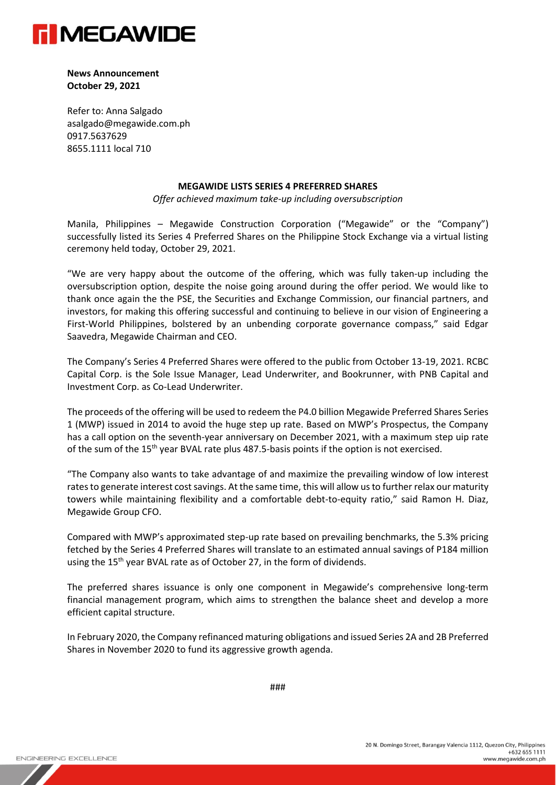

**News Announcement October 29, 2021**

Refer to: Anna Salgado [asalgado@megawide.com.ph](mailto:asalgado@megawide.com.ph) 0917.5637629 8655.1111 local 710

## **MEGAWIDE LISTS SERIES 4 PREFERRED SHARES**

*Offer achieved maximum take-up including oversubscription* 

Manila, Philippines – Megawide Construction Corporation ("Megawide" or the "Company") successfully listed its Series 4 Preferred Shares on the Philippine Stock Exchange via a virtual listing ceremony held today, October 29, 2021.

"We are very happy about the outcome of the offering, which was fully taken-up including the oversubscription option, despite the noise going around during the offer period. We would like to thank once again the the PSE, the Securities and Exchange Commission, our financial partners, and investors, for making this offering successful and continuing to believe in our vision of Engineering a First-World Philippines, bolstered by an unbending corporate governance compass," said Edgar Saavedra, Megawide Chairman and CEO.

The Company's Series 4 Preferred Shares were offered to the public from October 13-19, 2021. RCBC Capital Corp. is the Sole Issue Manager, Lead Underwriter, and Bookrunner, with PNB Capital and Investment Corp. as Co-Lead Underwriter.

The proceeds of the offering will be used to redeem the P4.0 billion Megawide Preferred Shares Series 1 (MWP) issued in 2014 to avoid the huge step up rate. Based on MWP's Prospectus, the Company has a call option on the seventh-year anniversary on December 2021, with a maximum step uip rate of the sum of the 15<sup>th</sup> year BVAL rate plus 487.5-basis points if the option is not exercised.

"The Company also wants to take advantage of and maximize the prevailing window of low interest rates to generate interest cost savings. At the same time, this will allow us to further relax our maturity towers while maintaining flexibility and a comfortable debt-to-equity ratio," said Ramon H. Diaz, Megawide Group CFO.

Compared with MWP's approximated step-up rate based on prevailing benchmarks, the 5.3% pricing fetched by the Series 4 Preferred Shares will translate to an estimated annual savings of P184 million using the 15<sup>th</sup> year BVAL rate as of October 27, in the form of dividends.

The preferred shares issuance is only one component in Megawide's comprehensive long-term financial management program, which aims to strengthen the balance sheet and develop a more efficient capital structure.

In February 2020, the Company refinanced maturing obligations and issued Series 2A and 2B Preferred Shares in November 2020 to fund its aggressive growth agenda.

###